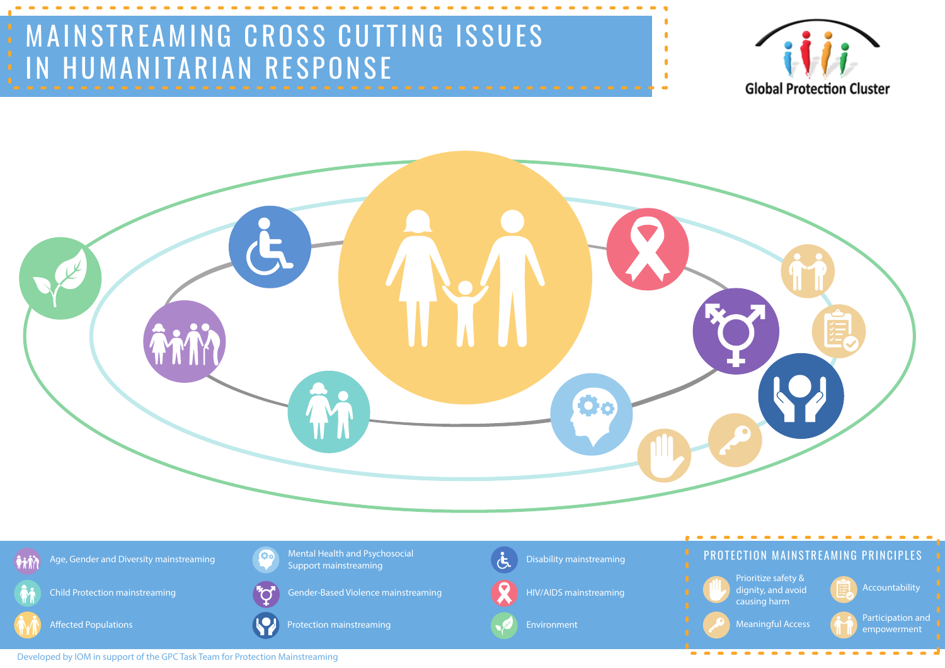Developed by IOM in support of the GPC Task Team for Protection Mainstreaming



**Ail** Age, Gender and Diversity mainstreaming



Prioritize safety & dignity, and avoid causing harm HIV/AIDS mainstreaming **the contract of the contract of the contract of the contract of the contract of the contract of the contract of the contract of the contract of the contract of the contract of the contract of the co** 

Child Protection mainstreaming







Mental Health and Psychosocial

Meaningful Access **Participation and** empowerment

Support mainstreaming

Protection mainstreaming  $\blacksquare$  Environment





**Co** 

Disability mainstreaming







## PROTECTION MAINSTREAMING PRINCIPLES





# MAINSTREAMING CROSS CUTTING ISSUES IN HUMANITARIAN RESPONSE